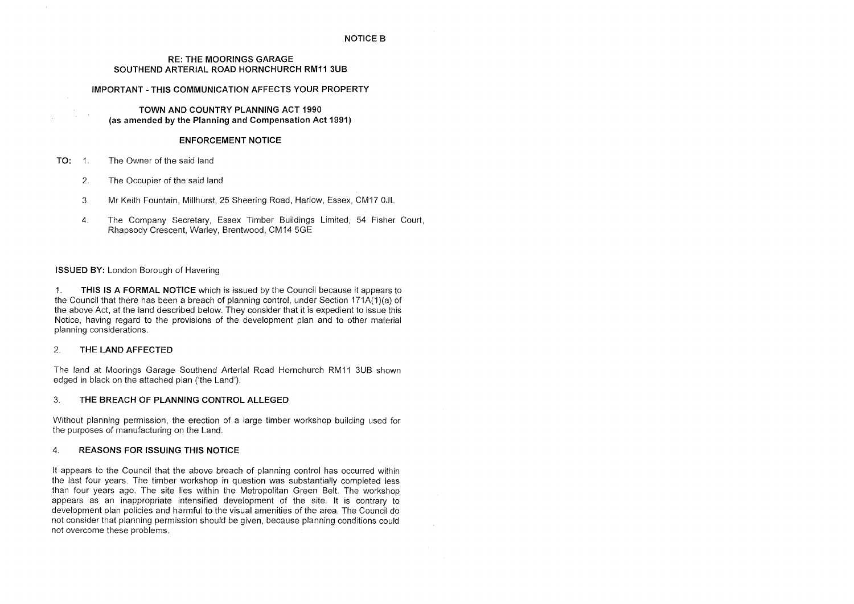## **NOTICE B**

## **RE: THE MOORINGS GARAGE SOUTHEND ARTERIAL ROAD HORNCHURCH RM11 3UB**

## **IMPORTANT-THIS COMMUNICATION AFFECTS YOUR PROPERTY**

## **TOWN AND COUNTRY PLANNING ACT 1990 (as amended by the Planning and Compensation Act 1991)**

## **ENFORCEMENT NOTICE**

- **TO:** 1. The Owner of the said land
	- 2. The Occupier of the said land
	- 3. Mr Keith Fountain, Millhurst, 25 Sheering Road, Harlow, Essex, CM17 0JL
	- 4. The Company Secretary, Essex Timber Buildings Limited, 54 Fisher Court, Rhapsody Crescent, Warley, Brentwood, CM14 5GE

## **ISSUED BY:** London Borough of Havering

1. **THIS IS A FORMAL NOTICE** which is issued by the Council because it appears to the Council that there has been a breach of planning control, under Section 171A(1)(a) of the above Act, at the land described below. They consider that it is expedient to issue this Notice, having regard to the provisions of the development plan and to other material planning considerations.

## 2. **THE LAND AFFECTED**

The land at Moorings Garage Southend Arterial Road Hornchurch RM11 3UB shown edged in black on the attached plan ('the Land').

## 3. **THE BREACH OF PLANNING CONTROL ALLEGED**

Without planning permission, the erection of a large timber workshop building used for the purposes of manufacturing on the Land.

## 4. **REASONS FOR ISSUING THIS NOTICE**

It appears to the Council that the above breach of planning control has occurred within the last four years. The timber workshop in question was substantially completed less than four years ago. The site lies within the Metropolitan Green Belt. The workshop appears as an inappropriate intensified development of the site. It is contrary to development plan policies and harmful to the visual amenities of the area. The Council do not consider that planning permission should be given, because planning conditions could not overcome these problems.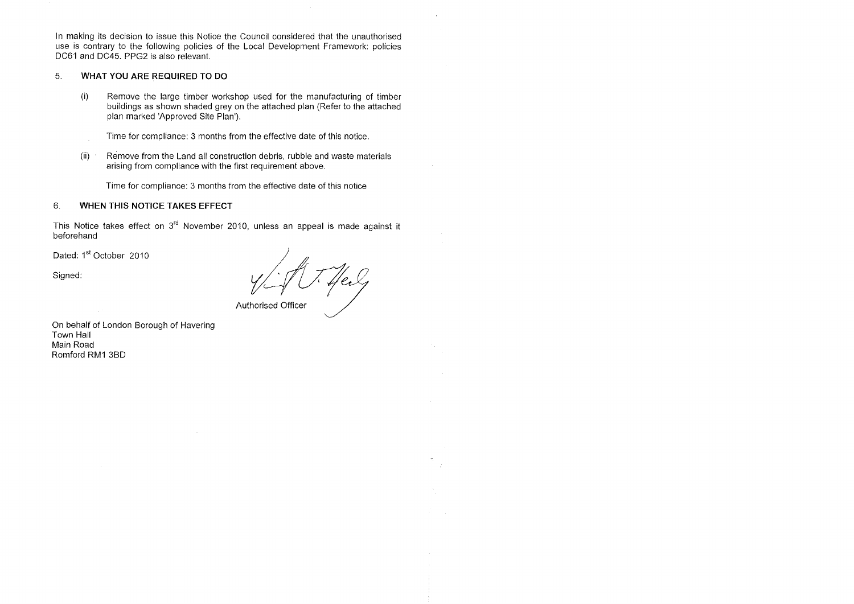In making its decision to issue this Notice the Council considered that the unauthorised use is contrary to the following policies of the Local Development Framework: policies DC61 and DC45. PPG2 is also relevant.

## 5. **WHAT YOU ARE REQUIRED TO DO**

This Notice takes effect on  $3<sup>rd</sup>$  November 2010, unless an appeal is made against it beforehand

 $\sim 10^7$ 

Dated: 1<sup>st</sup> October 2010

 $\sim 10^{11}$ 

- (i) Remove the large timber workshop used for the manufacturing of timber buildings as shown shaded grey on the attached plan (Refer to the attached plan marked 'Approved Site Plan').
	- Time for compliance: 3 months from the effective date of this notice.
- (ii) Remove from the Land all construction debris, rubble and waste materials arising from compliance with the first requirement above.

Time for compliance: 3 months from the effective date of this notice

# 6. **WHEN THIS NOTICE TAKES EFFECT**

Signed:

Authorised Officer

 $\sim$ 

On behalf of London Borough of Havering Town Hall Main Road Romford RM1 3BD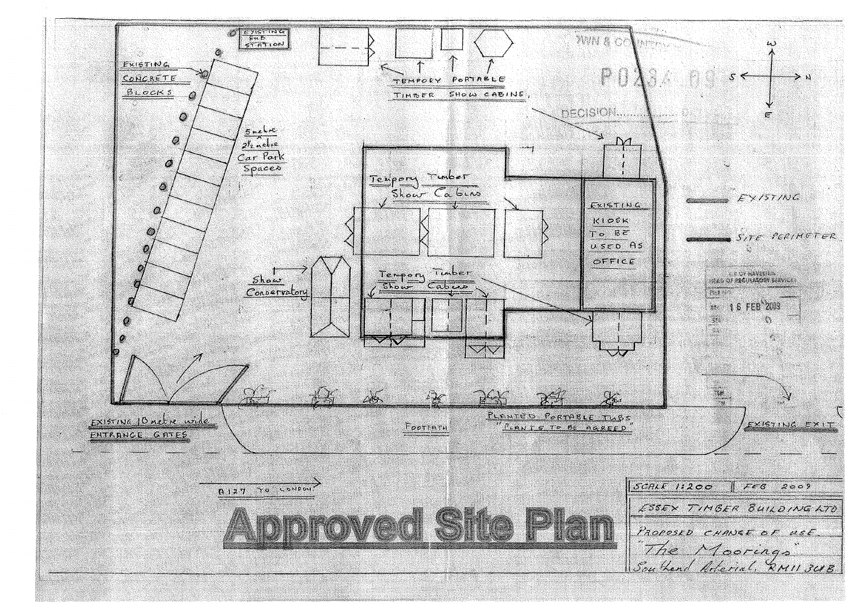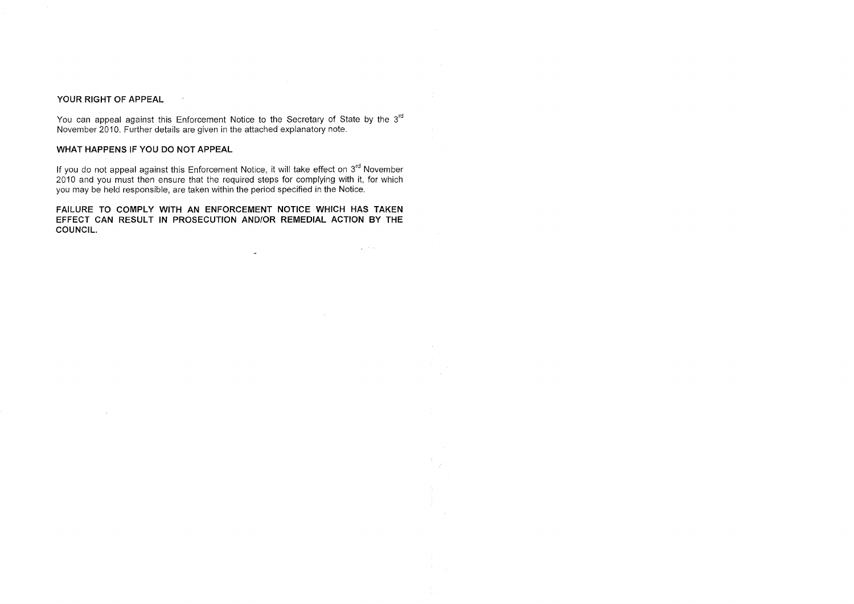## **YOUR RIGHT OF APPEAL**

 $\sim 10^7$ 

You can appeal against this Enforcement Notice to the Secretary of State by the 3<sup>rd</sup> November 2010. Further details are given in the attached explanatory note.

# **WHAT HAPPENS IF YOU DO NOT APPEAL**

 $\sim 10^{-1}$ 

If you do not appeal against this Enforcement Notice, it will take effect on 3<sup>rd</sup> November 2010 and you must then ensure that the required steps for complying with it, for which you may be held responsible, are taken within the period specified in the Notice.

**FAILURE TO COMPLY WITH AN ENFORCEMENT NOTICE WHICH HAS TAKEN EFFECT CAN RESULT IN PROSECUTION AND/OR REMEDIAL ACTION BY THE COUNCIL.** 

 $\mathcal{L}(\mathbf{z})$ 

 $\mathcal{L}^{\mathcal{L}}=\mathcal{L}^{\mathcal{L}}$  , where  $\mathcal{L}^{\mathcal{L}}$ 

 $\sim 10^7$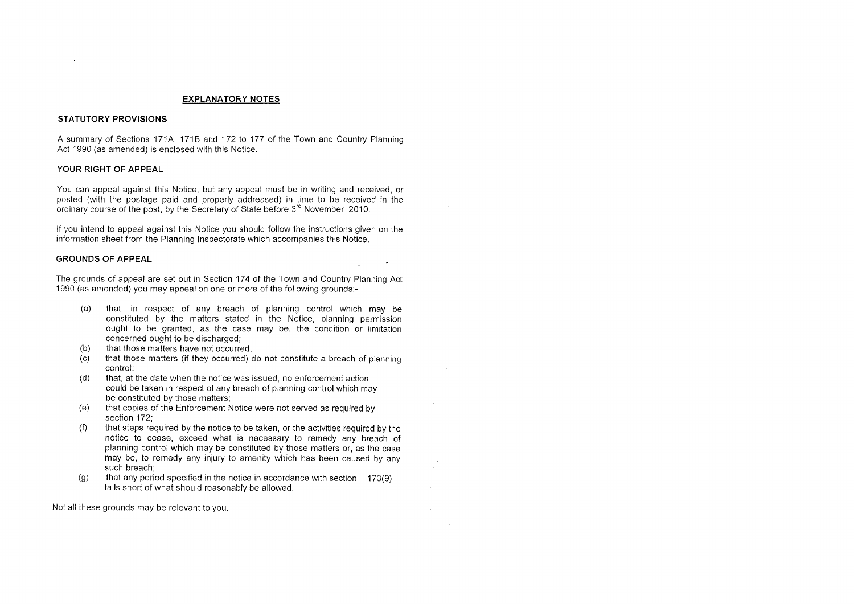### **EX PLANA TORY NOTES**

### **STATUTORY PROVISIONS**

You can appeal against this Notice, but any appeal must be in writing and received, or posted (with the postage paid and properly addressed) in time to be received in the ordinary course of the post, by the Secretary of State before 3<sup>rd</sup> November 2010.

A summary of Sections 171A, 171B and 172 to 177 of the Town and Country Planning Act 1990 (as amended) is enclosed with this Notice.

#### **YOUR RIGHT OF APPEAL**

If you intend to appeal against this Notice you should follow the instructions given on the information sheet from the Planning Inspectorate which accompanies this Notice.

### **GROUNDS OF APPEAL**

The grounds of appeal are set out in Section 174 of the Town and Country Planning Act 1990 (as amended) you may appeal on one or more of the following grounds:-

- (a) that, in respect of any breach of planning control which may be constituted by the matters stated in the Notice, planning permission ought to be granted, as the case may be, the condition or limitation concerned ought to be discharged;
- (b) that those matters have not occurred;
- (c) that those matters (if they occurred) do not constitute a breach of planning control;
- (d) that, at the date when the notice was issued, no enforcement action could be taken in respect of any breach of planning control which may be constituted by those matters;
- (e) that copies of the Enforcement Notice were not served as required by section 172;
- (f) that steps required by the notice to be taken, or the activities required by the notice to cease, exceed what is necessary to remedy any breach of planning control which may be constituted by those matters or, as the case may be, to remedy any injury to amenity which has been caused by any such breach;
- (g) that any period specified in the notice in accordance with section  $173(9)$ falls short of what should reasonably be allowed.

Not all these grounds may be relevant to you.